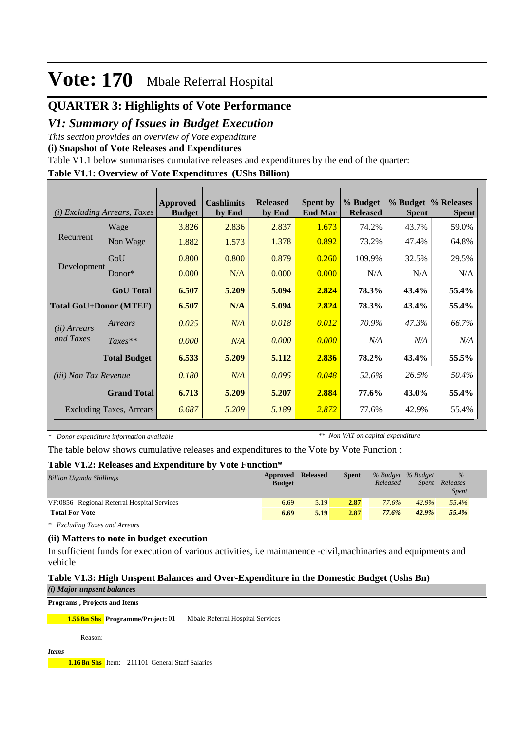## **QUARTER 3: Highlights of Vote Performance**

## *V1: Summary of Issues in Budget Execution*

*This section provides an overview of Vote expenditure* 

**(i) Snapshot of Vote Releases and Expenditures**

Table V1.1 below summarises cumulative releases and expenditures by the end of the quarter:

### **Table V1.1: Overview of Vote Expenditures (UShs Billion)**

| (i)                          | <b>Excluding Arrears, Taxes</b> | <b>Approved</b><br><b>Budget</b> | <b>Cashlimits</b><br>by End | <b>Released</b><br>by End | <b>Spent by</b><br><b>End Mar</b> | % Budget<br><b>Released</b> | <b>Spent</b> | % Budget % Releases<br><b>Spent</b> |
|------------------------------|---------------------------------|----------------------------------|-----------------------------|---------------------------|-----------------------------------|-----------------------------|--------------|-------------------------------------|
|                              | Wage                            | 3.826                            | 2.836                       | 2.837                     | 1.673                             | 74.2%                       | 43.7%        | 59.0%                               |
| Recurrent                    | Non Wage                        | 1.882                            | 1.573                       | 1.378                     | 0.892                             | 73.2%                       | 47.4%        | 64.8%                               |
|                              | GoU                             | 0.800                            | 0.800                       | 0.879                     | 0.260                             | 109.9%                      | 32.5%        | 29.5%                               |
| Development                  | $Donor*$                        | 0.000                            | N/A                         | 0.000                     | 0.000                             | N/A                         | N/A          | N/A                                 |
|                              | <b>GoU</b> Total                | 6.507                            | 5.209                       | 5.094                     | 2.824                             | 78.3%                       | 43.4%        | 55.4%                               |
|                              | <b>Total GoU+Donor (MTEF)</b>   | 6.507                            | N/A                         | 5.094                     | 2.824                             | 78.3%                       | 43.4%        | 55.4%                               |
| ( <i>ii</i> ) Arrears        | Arrears                         | 0.025                            | N/A                         | 0.018                     | 0.012                             | 70.9%                       | 47.3%        | 66.7%                               |
| and Taxes                    | $Taxes**$                       | 0.000                            | N/A                         | 0.000                     | 0.000                             | N/A                         | N/A          | N/A                                 |
|                              | <b>Total Budget</b>             | 6.533                            | 5.209                       | 5.112                     | 2.836                             | 78.2%                       | 43.4%        | 55.5%                               |
| <i>(iii)</i> Non Tax Revenue |                                 | 0.180                            | N/A                         | 0.095                     | 0.048                             | 52.6%                       | 26.5%        | 50.4%                               |
|                              | <b>Grand Total</b>              | 6.713                            | 5.209                       | 5.207                     | 2.884                             | 77.6%                       | 43.0%        | 55.4%                               |
|                              | <b>Excluding Taxes, Arrears</b> | 6.687                            | 5.209                       | 5.189                     | 2.872                             | 77.6%                       | 42.9%        | 55.4%                               |

*\* Donor expenditure information available*

*\*\* Non VAT on capital expenditure*

The table below shows cumulative releases and expenditures to the Vote by Vote Function :

#### **Table V1.2: Releases and Expenditure by Vote Function\***

| <b>Billion Uganda Shillings</b>             | Approved<br><b>Budget</b> | <b>Released</b> | <b>Spent</b> | % Budget % Budget<br>Released | Spent | $\%$<br>Releases<br><i>Spent</i> |  |
|---------------------------------------------|---------------------------|-----------------|--------------|-------------------------------|-------|----------------------------------|--|
| VF:0856 Regional Referral Hospital Services | 6.69                      | 5.19            | 2.87         | 77.6%                         | 42.9% | 55.4%                            |  |
| <b>Total For Vote</b>                       | 6.69                      | 5.19            | 2.87         | 77.6%                         | 42.9% | 55.4%                            |  |

*\* Excluding Taxes and Arrears*

#### **(ii) Matters to note in budget execution**

In sufficient funds for execution of various activities, i.e maintanence -civil,machinaries and equipments and vehicle

### **Table V1.3: High Unspent Balances and Over-Expenditure in the Domestic Budget (Ushs Bn)**

#### *(i) Major unpsent balances* **Programs , Projects and Items**

**1.56Bn Shs Programme/Project:** 01 Mbale Referral Hospital Services

Reason:

*Items*

**1.16Bn Shs** Item: 211101 General Staff Salaries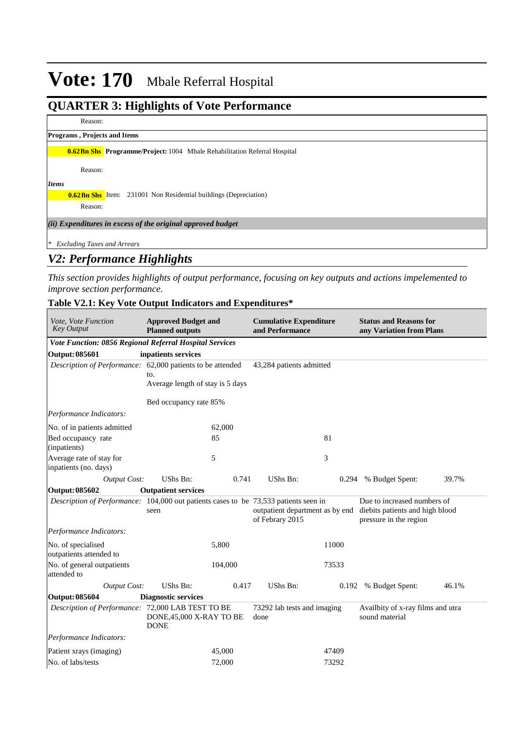## **QUARTER 3: Highlights of Vote Performance**

Reason:

|              | <b>Programs, Projects and Items</b> |                                                                                   |
|--------------|-------------------------------------|-----------------------------------------------------------------------------------|
|              |                                     | <b>0.62 Bn Shs</b> Programme/Project: 1004 Mbale Rehabilitation Referral Hospital |
|              | Reason:                             |                                                                                   |
| <b>Items</b> |                                     |                                                                                   |
|              |                                     | <b>0.62 Bn Shs</b> Item: 231001 Non Residential buildings (Depreciation)          |
|              | Reason:                             |                                                                                   |
|              |                                     | (ii) Expenditures in excess of the original approved budget                       |
| $*$          | <b>Excluding Taxes and Arrears</b>  |                                                                                   |

## *V2: Performance Highlights*

*This section provides highlights of output performance, focusing on key outputs and actions impelemented to improve section performance.*

### **Table V2.1: Key Vote Output Indicators and Expenditures\***

| <b>Approved Budget and</b><br>Vote, Vote Function<br><b>Key Output</b><br><b>Planned outputs</b>      |                                         |         | <b>Cumulative Expenditure</b><br>and Performance   |       | <b>Status and Reasons for</b><br>any Variation from Plans                                |       |
|-------------------------------------------------------------------------------------------------------|-----------------------------------------|---------|----------------------------------------------------|-------|------------------------------------------------------------------------------------------|-------|
| Vote Function: 0856 Regional Referral Hospital Services                                               |                                         |         |                                                    |       |                                                                                          |       |
| <b>Output: 085601</b>                                                                                 | inpatients services                     |         |                                                    |       |                                                                                          |       |
| Description of Performance: 62,000 patients to be attended<br>to.<br>Average length of stay is 5 days |                                         |         | 43,284 patients admitted                           |       |                                                                                          |       |
|                                                                                                       | Bed occupancy rate 85%                  |         |                                                    |       |                                                                                          |       |
| Performance Indicators:                                                                               |                                         |         |                                                    |       |                                                                                          |       |
| No. of in patients admitted                                                                           |                                         | 62,000  |                                                    |       |                                                                                          |       |
| Bed occupancy rate<br>(inpatients)                                                                    |                                         | 85      |                                                    | 81    |                                                                                          |       |
| Average rate of stay for<br>inpatients (no. days)                                                     |                                         | 5       |                                                    | 3     |                                                                                          |       |
| <b>Output Cost:</b>                                                                                   | UShs Bn:                                | 0.741   | UShs Bn:                                           | 0.294 | % Budget Spent:                                                                          | 39.7% |
| <b>Output: 085602</b>                                                                                 | <b>Outpatient services</b>              |         |                                                    |       |                                                                                          |       |
| Description of Performance: 104,000 out patients cases to be 73,533 patients seen in                  | seen                                    |         | outpatient department as by end<br>of Febrary 2015 |       | Due to increased numbers of<br>diebits patients and high blood<br>pressure in the region |       |
| Performance Indicators:                                                                               |                                         |         |                                                    |       |                                                                                          |       |
| No. of specialised<br>outpatients attended to                                                         |                                         | 5,800   |                                                    | 11000 |                                                                                          |       |
| No. of general outpatients<br>attended to                                                             |                                         | 104,000 |                                                    | 73533 |                                                                                          |       |
| <b>Output Cost:</b>                                                                                   | UShs Bn:                                | 0.417   | <b>UShs Bn:</b>                                    | 0.192 | % Budget Spent:                                                                          | 46.1% |
| <b>Output: 085604</b>                                                                                 | <b>Diagnostic services</b>              |         |                                                    |       |                                                                                          |       |
| Description of Performance: 72,000 LAB TEST TO BE                                                     | DONE, 45,000 X-RAY TO BE<br><b>DONE</b> |         | 73292 lab tests and imaging<br>done                |       | Availbity of x-ray films and utra<br>sound material                                      |       |
| Performance Indicators:                                                                               |                                         |         |                                                    |       |                                                                                          |       |
| Patient xrays (imaging)                                                                               |                                         | 45,000  |                                                    | 47409 |                                                                                          |       |
| No. of labs/tests                                                                                     |                                         | 72,000  |                                                    | 73292 |                                                                                          |       |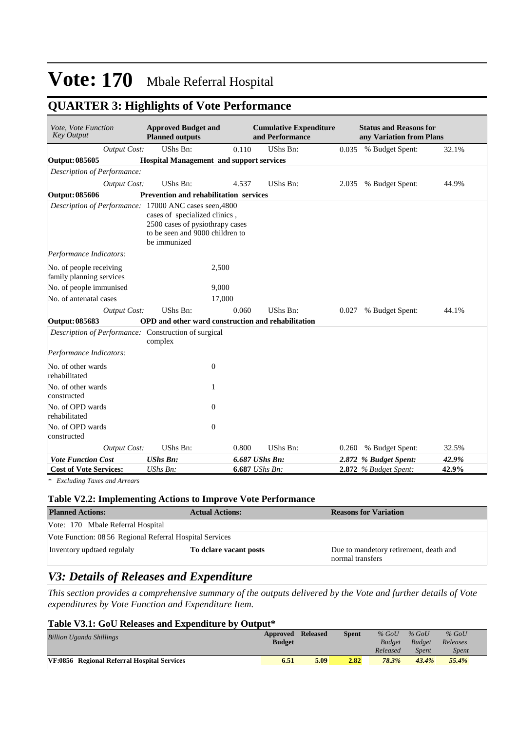## **QUARTER 3: Highlights of Vote Performance**

| Vote, Vote Function<br><b>Key Output</b>               | <b>Approved Budget and</b><br><b>Planned outputs</b>                                                                |       | <b>Cumulative Expenditure</b><br>and Performance |       | <b>Status and Reasons for</b><br>any Variation from Plans |       |
|--------------------------------------------------------|---------------------------------------------------------------------------------------------------------------------|-------|--------------------------------------------------|-------|-----------------------------------------------------------|-------|
| <b>Output Cost:</b>                                    | UShs Bn:                                                                                                            | 0.110 | <b>UShs Bn:</b>                                  |       | 0.035 % Budget Spent:                                     | 32.1% |
| <b>Output: 085605</b>                                  | <b>Hospital Management and support services</b>                                                                     |       |                                                  |       |                                                           |       |
| Description of Performance:                            |                                                                                                                     |       |                                                  |       |                                                           |       |
| <b>Output Cost:</b>                                    | UShs Bn:                                                                                                            | 4.537 | UShs Bn:                                         |       | 2.035 % Budget Spent:                                     | 44.9% |
| <b>Output: 085606</b>                                  | Prevention and rehabilitation services                                                                              |       |                                                  |       |                                                           |       |
| Description of Performance: 17000 ANC cases seen, 4800 | cases of specialized clinics,<br>2500 cases of pysiothrapy cases<br>to be seen and 9000 children to<br>be immunized |       |                                                  |       |                                                           |       |
| Performance Indicators:                                |                                                                                                                     |       |                                                  |       |                                                           |       |
| No. of people receiving<br>family planning services    | 2,500                                                                                                               |       |                                                  |       |                                                           |       |
| No. of people immunised                                | 9,000                                                                                                               |       |                                                  |       |                                                           |       |
| No. of antenatal cases                                 | 17,000                                                                                                              |       |                                                  |       |                                                           |       |
| <b>Output Cost:</b>                                    | UShs Bn:                                                                                                            | 0.060 | <b>UShs Bn:</b>                                  | 0.027 | % Budget Spent:                                           | 44.1% |
| Output: 085683                                         | OPD and other ward construction and rehabilitation                                                                  |       |                                                  |       |                                                           |       |
| Description of Performance: Construction of surgical   | complex                                                                                                             |       |                                                  |       |                                                           |       |
| Performance Indicators:                                |                                                                                                                     |       |                                                  |       |                                                           |       |
| No. of other wards<br>rehabilitated                    | $\theta$                                                                                                            |       |                                                  |       |                                                           |       |
| No. of other wards<br>constructed                      | 1                                                                                                                   |       |                                                  |       |                                                           |       |
| No. of OPD wards<br>rehabilitated                      | $\theta$                                                                                                            |       |                                                  |       |                                                           |       |
| No. of OPD wards<br>constructed                        | $\theta$                                                                                                            |       |                                                  |       |                                                           |       |
| <b>Output Cost:</b>                                    | UShs Bn:                                                                                                            | 0.800 | <b>UShs Bn:</b>                                  | 0.260 | % Budget Spent:                                           | 32.5% |
| <b>Vote Function Cost</b>                              | <b>UShs Bn:</b>                                                                                                     |       | 6.687 UShs Bn:                                   |       | 2.872 % Budget Spent:                                     | 42.9% |
| <b>Cost of Vote Services:</b>                          | UShs Bn:                                                                                                            |       | 6.687 UShs Bn:                                   |       | 2.872 % Budget Spent:                                     | 42.9% |

*\* Excluding Taxes and Arrears*

#### **Table V2.2: Implementing Actions to Improve Vote Performance**

| <b>Planned Actions:</b>                                  | <b>Actual Actions:</b> | <b>Reasons for Variation</b>                               |
|----------------------------------------------------------|------------------------|------------------------------------------------------------|
| Vote: 170 Mbale Referral Hospital                        |                        |                                                            |
| Vote Function: 08 56 Regional Referral Hospital Services |                        |                                                            |
| Inventory updtaed regulaly                               | To delare vacant posts | Due to mandetory retirement, death and<br>normal transfers |

## *V3: Details of Releases and Expenditure*

*This section provides a comprehensive summary of the outputs delivered by the Vote and further details of Vote expenditures by Vote Function and Expenditure Item.*

### **Table V3.1: GoU Releases and Expenditure by Output\***

| <b>Billion Uganda Shillings</b>             | Approved Released<br><b>Budget</b> |      | Spent | $%$ GoU<br><b>Budget</b> | $%$ GoU<br>Budget | $%$ GoU<br>Releases |
|---------------------------------------------|------------------------------------|------|-------|--------------------------|-------------------|---------------------|
|                                             |                                    |      |       | Released                 | <b>Spent</b>      | <i>Spent</i>        |
| VF:0856 Regional Referral Hospital Services | 6.51                               | 5.09 | 2.82  | 78.3%                    | 43.4%             | 55.4%               |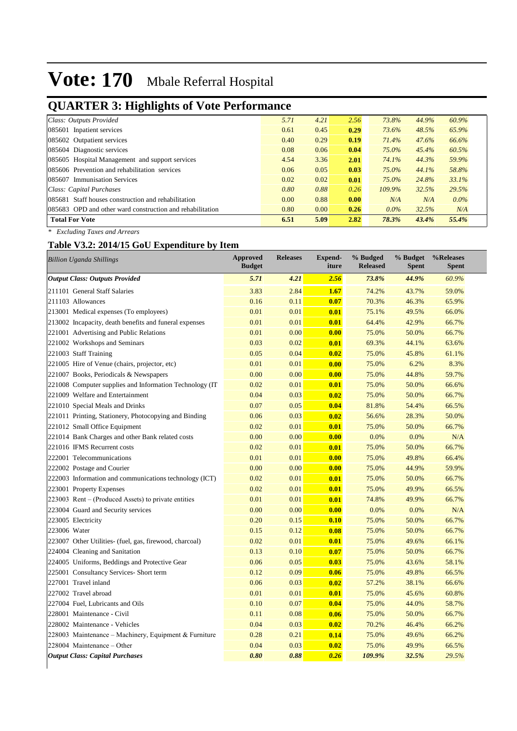## **QUARTER 3: Highlights of Vote Performance**

| Class: Outputs Provided                                   | 5.71 | 4.21 | 2.56 | 73.8%     | 44.9% | 60.9%   |
|-----------------------------------------------------------|------|------|------|-----------|-------|---------|
| 085601 Inpatient services                                 | 0.61 | 0.45 | 0.29 | 73.6%     | 48.5% | 65.9%   |
| 085602 Outpatient services                                | 0.40 | 0.29 | 0.19 | 71.4%     | 47.6% | 66.6%   |
| 085604 Diagnostic services                                | 0.08 | 0.06 | 0.04 | 75.0%     | 45.4% | 60.5%   |
| 085605 Hospital Management and support services           | 4.54 | 3.36 | 2.01 | 74.1%     | 44.3% | 59.9%   |
| 085606 Prevention and rehabilitation services             | 0.06 | 0.05 | 0.03 | 75.0%     | 44.1% | 58.8%   |
| 085607 Immunisation Services                              | 0.02 | 0.02 | 0.01 | 75.0%     | 24.8% | 33.1%   |
| Class: Capital Purchases                                  | 0.80 | 0.88 | 0.26 | $109.9\%$ | 32.5% | 29.5%   |
| 085681 Staff houses construction and rehabilitation       | 0.00 | 0.88 | 0.00 | N/A       | N/A   | $0.0\%$ |
| 085683 OPD and other ward construction and rehabilitation | 0.80 | 0.00 | 0.26 | $0.0\%$   | 32.5% | N/A     |
| <b>Total For Vote</b>                                     | 6.51 | 5.09 | 2.82 | 78.3%     | 43.4% | 55.4%   |
|                                                           |      |      |      |           |       |         |

*\* Excluding Taxes and Arrears*

## **Table V3.2: 2014/15 GoU Expenditure by Item**

| <b>Billion Uganda Shillings</b>                          | <b>Approved</b><br><b>Budget</b> | <b>Releases</b> | <b>Expend-</b><br>iture | % Budged<br><b>Released</b> | % Budget<br><b>Spent</b> | %Releases<br><b>Spent</b> |
|----------------------------------------------------------|----------------------------------|-----------------|-------------------------|-----------------------------|--------------------------|---------------------------|
| <b>Output Class: Outputs Provided</b>                    | 5.71                             | 4.21            | 2.56                    | 73.8%                       | 44.9%                    | 60.9%                     |
| 211101 General Staff Salaries                            | 3.83                             | 2.84            | 1.67                    | 74.2%                       | 43.7%                    | 59.0%                     |
| 211103 Allowances                                        | 0.16                             | 0.11            | 0.07                    | 70.3%                       | 46.3%                    | 65.9%                     |
| 213001 Medical expenses (To employees)                   | 0.01                             | 0.01            | 0.01                    | 75.1%                       | 49.5%                    | 66.0%                     |
| 213002 Incapacity, death benefits and funeral expenses   | 0.01                             | 0.01            | 0.01                    | 64.4%                       | 42.9%                    | 66.7%                     |
| 221001 Advertising and Public Relations                  | 0.01                             | 0.00            | 0.00                    | 75.0%                       | 50.0%                    | 66.7%                     |
| 221002 Workshops and Seminars                            | 0.03                             | 0.02            | 0.01                    | 69.3%                       | 44.1%                    | 63.6%                     |
| 221003 Staff Training                                    | 0.05                             | 0.04            | 0.02                    | 75.0%                       | 45.8%                    | 61.1%                     |
| 221005 Hire of Venue (chairs, projector, etc)            | 0.01                             | 0.01            | 0.00                    | 75.0%                       | 6.2%                     | 8.3%                      |
| 221007 Books, Periodicals & Newspapers                   | 0.00                             | 0.00            | 0.00                    | 75.0%                       | 44.8%                    | 59.7%                     |
| 221008 Computer supplies and Information Technology (IT) | 0.02                             | 0.01            | 0.01                    | 75.0%                       | 50.0%                    | 66.6%                     |
| 221009 Welfare and Entertainment                         | 0.04                             | 0.03            | 0.02                    | 75.0%                       | 50.0%                    | 66.7%                     |
| 221010 Special Meals and Drinks                          | 0.07                             | 0.05            | 0.04                    | 81.8%                       | 54.4%                    | 66.5%                     |
| 221011 Printing, Stationery, Photocopying and Binding    | 0.06                             | 0.03            | 0.02                    | 56.6%                       | 28.3%                    | 50.0%                     |
| 221012 Small Office Equipment                            | 0.02                             | 0.01            | 0.01                    | 75.0%                       | 50.0%                    | 66.7%                     |
| 221014 Bank Charges and other Bank related costs         | 0.00                             | 0.00            | 0.00                    | 0.0%                        | 0.0%                     | N/A                       |
| 221016 IFMS Recurrent costs                              | 0.02                             | 0.01            | 0.01                    | 75.0%                       | 50.0%                    | 66.7%                     |
| 222001 Telecommunications                                | 0.01                             | 0.01            | 0.00                    | 75.0%                       | 49.8%                    | 66.4%                     |
| 222002 Postage and Courier                               | 0.00                             | 0.00            | 0.00                    | 75.0%                       | 44.9%                    | 59.9%                     |
| 222003 Information and communications technology (ICT)   | 0.02                             | 0.01            | 0.01                    | 75.0%                       | 50.0%                    | 66.7%                     |
| 223001 Property Expenses                                 | 0.02                             | 0.01            | 0.01                    | 75.0%                       | 49.9%                    | 66.5%                     |
| 223003 Rent – (Produced Assets) to private entities      | 0.01                             | 0.01            | 0.01                    | 74.8%                       | 49.9%                    | 66.7%                     |
| 223004 Guard and Security services                       | 0.00                             | 0.00            | 0.00                    | 0.0%                        | 0.0%                     | N/A                       |
| 223005 Electricity                                       | 0.20                             | 0.15            | 0.10                    | 75.0%                       | 50.0%                    | 66.7%                     |
| 223006 Water                                             | 0.15                             | 0.12            | 0.08                    | 75.0%                       | 50.0%                    | 66.7%                     |
| 223007 Other Utilities- (fuel, gas, firewood, charcoal)  | 0.02                             | 0.01            | 0.01                    | 75.0%                       | 49.6%                    | 66.1%                     |
| 224004 Cleaning and Sanitation                           | 0.13                             | 0.10            | 0.07                    | 75.0%                       | 50.0%                    | 66.7%                     |
| 224005 Uniforms, Beddings and Protective Gear            | 0.06                             | 0.05            | 0.03                    | 75.0%                       | 43.6%                    | 58.1%                     |
| 225001 Consultancy Services- Short term                  | 0.12                             | 0.09            | 0.06                    | 75.0%                       | 49.8%                    | 66.5%                     |
| 227001 Travel inland                                     | 0.06                             | 0.03            | 0.02                    | 57.2%                       | 38.1%                    | 66.6%                     |
| 227002 Travel abroad                                     | 0.01                             | 0.01            | 0.01                    | 75.0%                       | 45.6%                    | 60.8%                     |
| 227004 Fuel, Lubricants and Oils                         | 0.10                             | 0.07            | 0.04                    | 75.0%                       | 44.0%                    | 58.7%                     |
| 228001 Maintenance - Civil                               | 0.11                             | 0.08            | 0.06                    | 75.0%                       | 50.0%                    | 66.7%                     |
| 228002 Maintenance - Vehicles                            | 0.04                             | 0.03            | 0.02                    | 70.2%                       | 46.4%                    | 66.2%                     |
| 228003 Maintenance – Machinery, Equipment & Furniture    | 0.28                             | 0.21            | 0.14                    | 75.0%                       | 49.6%                    | 66.2%                     |
| 228004 Maintenance – Other                               | 0.04                             | 0.03            | 0.02                    | 75.0%                       | 49.9%                    | 66.5%                     |
| <b>Output Class: Capital Purchases</b>                   | 0.80                             | 0.88            | 0.26                    | 109.9%                      | 32.5%                    | 29.5%                     |